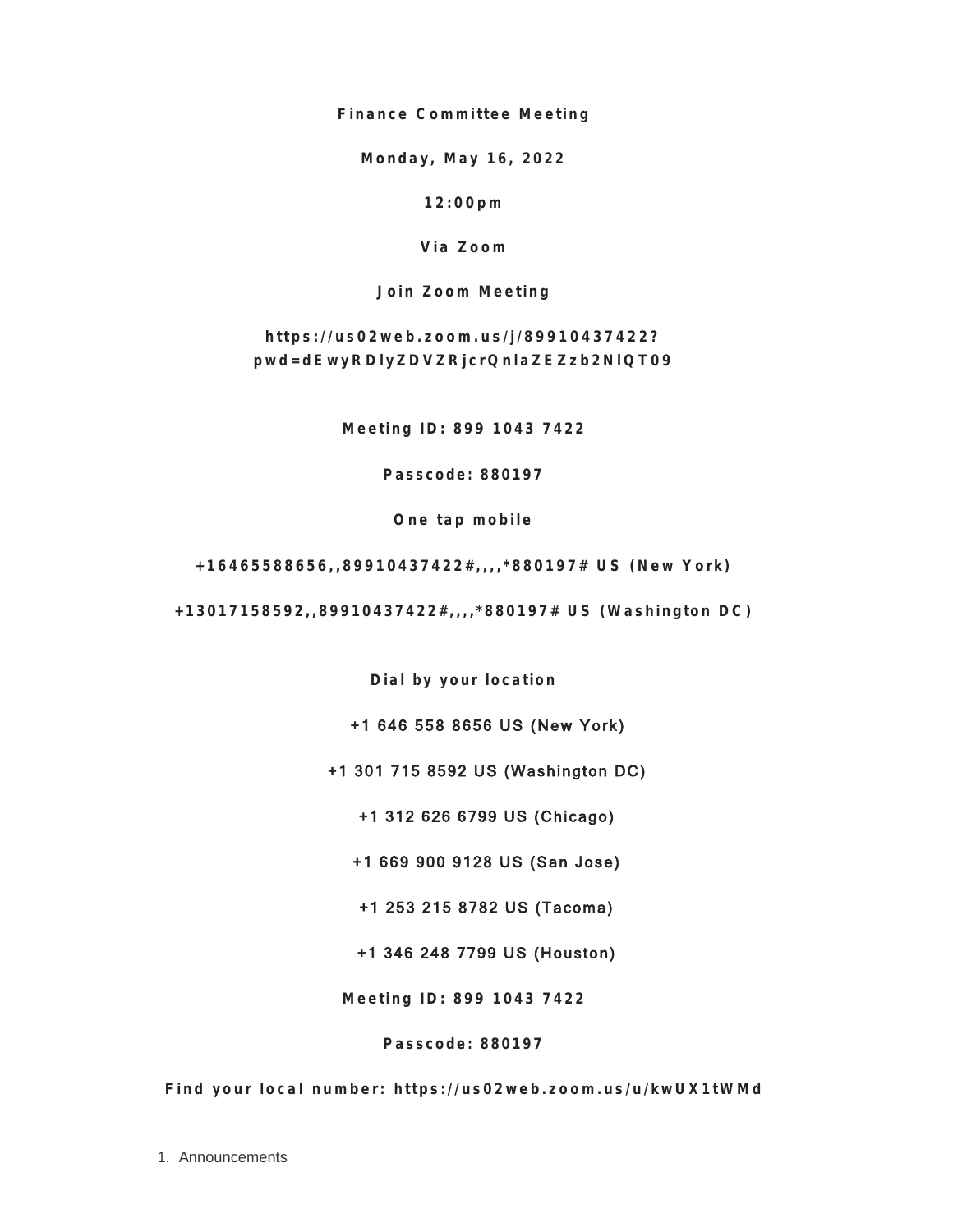**Finance Committee Meeting**

**Monday, May 16, 2022**

**12:00pm**

**Via Zoom**

**Join Zoom Meeting**

**https://us02web.zoom.us/j/89910437422? pwd=dEwyRDlyZDVZRjcrQnlaZEZzb2NlQT09**

**Meeting ID: 899 1043 7422**

**Passcode: 880197**

**One tap mobile**

**+16465588656,,89910437422#,,,,\*880197# US (New York)**

**+13017158592,,89910437422#,,,,\*880197# US (Washington DC)**

**Dial by your location**

+1 646 558 8656 US (New York)

+1 301 715 8592 US (Washington DC)

+1 312 626 6799 US (Chicago)

+1 669 900 9128 US (San Jose)

+1 253 215 8782 US (Tacoma)

+1 346 248 7799 US (Houston)

**Meeting ID: 899 1043 7422**

**Passcode: 880197**

**Find your local number: https://us02web.zoom.us/u/kwUX1tWMd**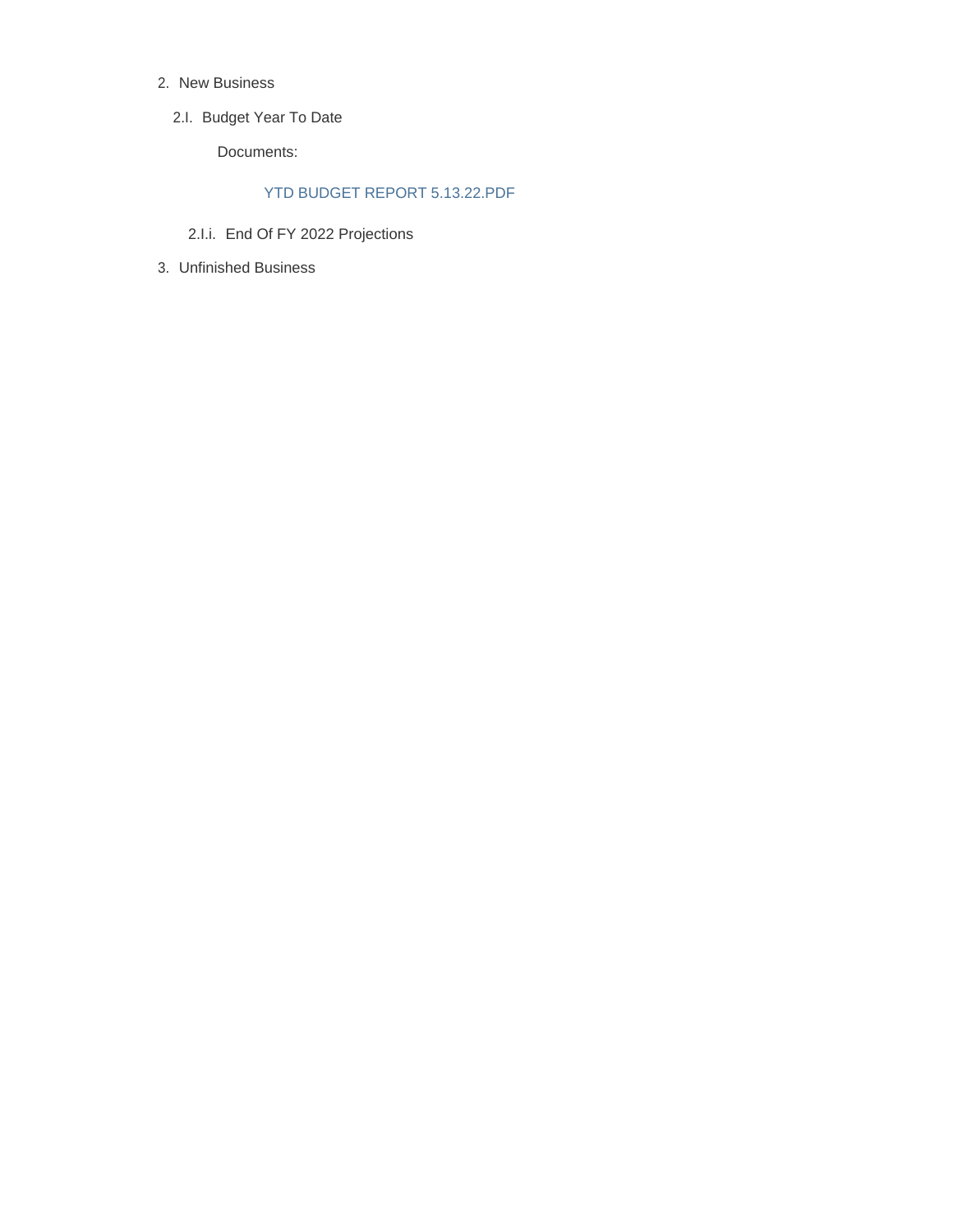- 2. New Business
	- 2.I. Budget Year To Date

Documents:

## YTD BUDGET REPORT 5.13.22.PDF

- 2.I.i. End Of FY 2022 Projections
- Unfinished Business 3.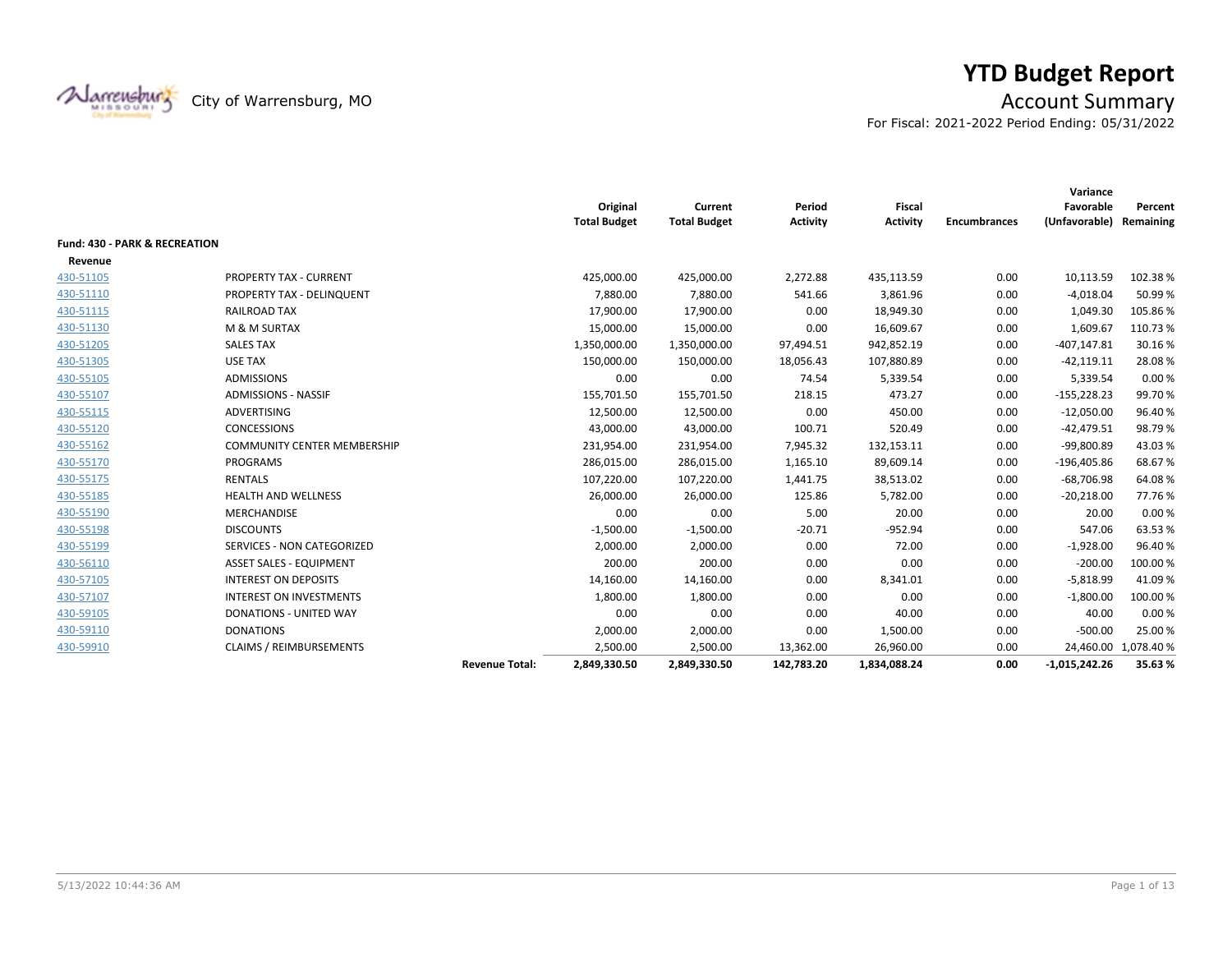

# **YTD Budget Report**

City of Warrensburg, MO **Account Summary** 

For Fiscal: 2021-2022 Period Ending: 05/31/2022

|           |                                    |                       | Original            | Current             | Period     | Fiscal          |                     | Variance<br>Favorable   | Percent              |
|-----------|------------------------------------|-----------------------|---------------------|---------------------|------------|-----------------|---------------------|-------------------------|----------------------|
|           |                                    |                       | <b>Total Budget</b> | <b>Total Budget</b> | Activity   | <b>Activity</b> | <b>Encumbrances</b> | (Unfavorable) Remaining |                      |
|           | Fund: 430 - PARK & RECREATION      |                       |                     |                     |            |                 |                     |                         |                      |
| Revenue   |                                    |                       |                     |                     |            |                 |                     |                         |                      |
| 430-51105 | PROPERTY TAX - CURRENT             |                       | 425,000.00          | 425,000.00          | 2,272.88   | 435,113.59      | 0.00                | 10,113.59               | 102.38%              |
| 430-51110 | PROPERTY TAX - DELINQUENT          |                       | 7,880.00            | 7,880.00            | 541.66     | 3,861.96        | 0.00                | $-4,018.04$             | 50.99%               |
| 430-51115 | <b>RAILROAD TAX</b>                |                       | 17,900.00           | 17,900.00           | 0.00       | 18,949.30       | 0.00                | 1,049.30                | 105.86%              |
| 430-51130 | M & M SURTAX                       |                       | 15,000.00           | 15,000.00           | 0.00       | 16,609.67       | 0.00                | 1,609.67                | 110.73%              |
| 430-51205 | <b>SALES TAX</b>                   |                       | 1,350,000.00        | 1,350,000.00        | 97,494.51  | 942,852.19      | 0.00                | $-407, 147.81$          | 30.16%               |
| 430-51305 | <b>USE TAX</b>                     |                       | 150,000.00          | 150,000.00          | 18,056.43  | 107,880.89      | 0.00                | $-42,119.11$            | 28.08%               |
| 430-55105 | <b>ADMISSIONS</b>                  |                       | 0.00                | 0.00                | 74.54      | 5,339.54        | 0.00                | 5,339.54                | 0.00%                |
| 430-55107 | <b>ADMISSIONS - NASSIF</b>         |                       | 155,701.50          | 155,701.50          | 218.15     | 473.27          | 0.00                | $-155,228.23$           | 99.70%               |
| 430-55115 | ADVERTISING                        |                       | 12,500.00           | 12,500.00           | 0.00       | 450.00          | 0.00                | $-12,050.00$            | 96.40%               |
| 430-55120 | <b>CONCESSIONS</b>                 |                       | 43,000.00           | 43,000.00           | 100.71     | 520.49          | 0.00                | $-42,479.51$            | 98.79%               |
| 430-55162 | <b>COMMUNITY CENTER MEMBERSHIP</b> |                       | 231,954.00          | 231,954.00          | 7,945.32   | 132,153.11      | 0.00                | -99,800.89              | 43.03%               |
| 430-55170 | PROGRAMS                           |                       | 286,015.00          | 286,015.00          | 1,165.10   | 89,609.14       | 0.00                | $-196,405.86$           | 68.67%               |
| 430-55175 | <b>RENTALS</b>                     |                       | 107,220.00          | 107,220.00          | 1,441.75   | 38,513.02       | 0.00                | $-68,706.98$            | 64.08%               |
| 430-55185 | <b>HEALTH AND WELLNESS</b>         |                       | 26,000.00           | 26,000.00           | 125.86     | 5,782.00        | 0.00                | $-20,218.00$            | 77.76%               |
| 430-55190 | MERCHANDISE                        |                       | 0.00                | 0.00                | 5.00       | 20.00           | 0.00                | 20.00                   | 0.00%                |
| 430-55198 | <b>DISCOUNTS</b>                   |                       | $-1,500.00$         | $-1,500.00$         | $-20.71$   | $-952.94$       | 0.00                | 547.06                  | 63.53%               |
| 430-55199 | <b>SERVICES - NON CATEGORIZED</b>  |                       | 2,000.00            | 2,000.00            | 0.00       | 72.00           | 0.00                | $-1,928.00$             | 96.40%               |
| 430-56110 | <b>ASSET SALES - EQUIPMENT</b>     |                       | 200.00              | 200.00              | 0.00       | 0.00            | 0.00                | $-200.00$               | 100.00 %             |
| 430-57105 | <b>INTEREST ON DEPOSITS</b>        |                       | 14,160.00           | 14,160.00           | 0.00       | 8,341.01        | 0.00                | $-5,818.99$             | 41.09%               |
| 430-57107 | <b>INTEREST ON INVESTMENTS</b>     |                       | 1,800.00            | 1,800.00            | 0.00       | 0.00            | 0.00                | $-1,800.00$             | 100.00%              |
| 430-59105 | DONATIONS - UNITED WAY             |                       | 0.00                | 0.00                | 0.00       | 40.00           | 0.00                | 40.00                   | 0.00%                |
| 430-59110 | <b>DONATIONS</b>                   |                       | 2,000.00            | 2,000.00            | 0.00       | 1,500.00        | 0.00                | $-500.00$               | 25.00 %              |
| 430-59910 | <b>CLAIMS / REIMBURSEMENTS</b>     |                       | 2,500.00            | 2,500.00            | 13,362.00  | 26,960.00       | 0.00                |                         | 24,460.00 1,078.40 % |
|           |                                    | <b>Revenue Total:</b> | 2,849,330.50        | 2,849,330.50        | 142,783.20 | 1,834,088.24    | 0.00                | $-1,015,242.26$         | 35.63%               |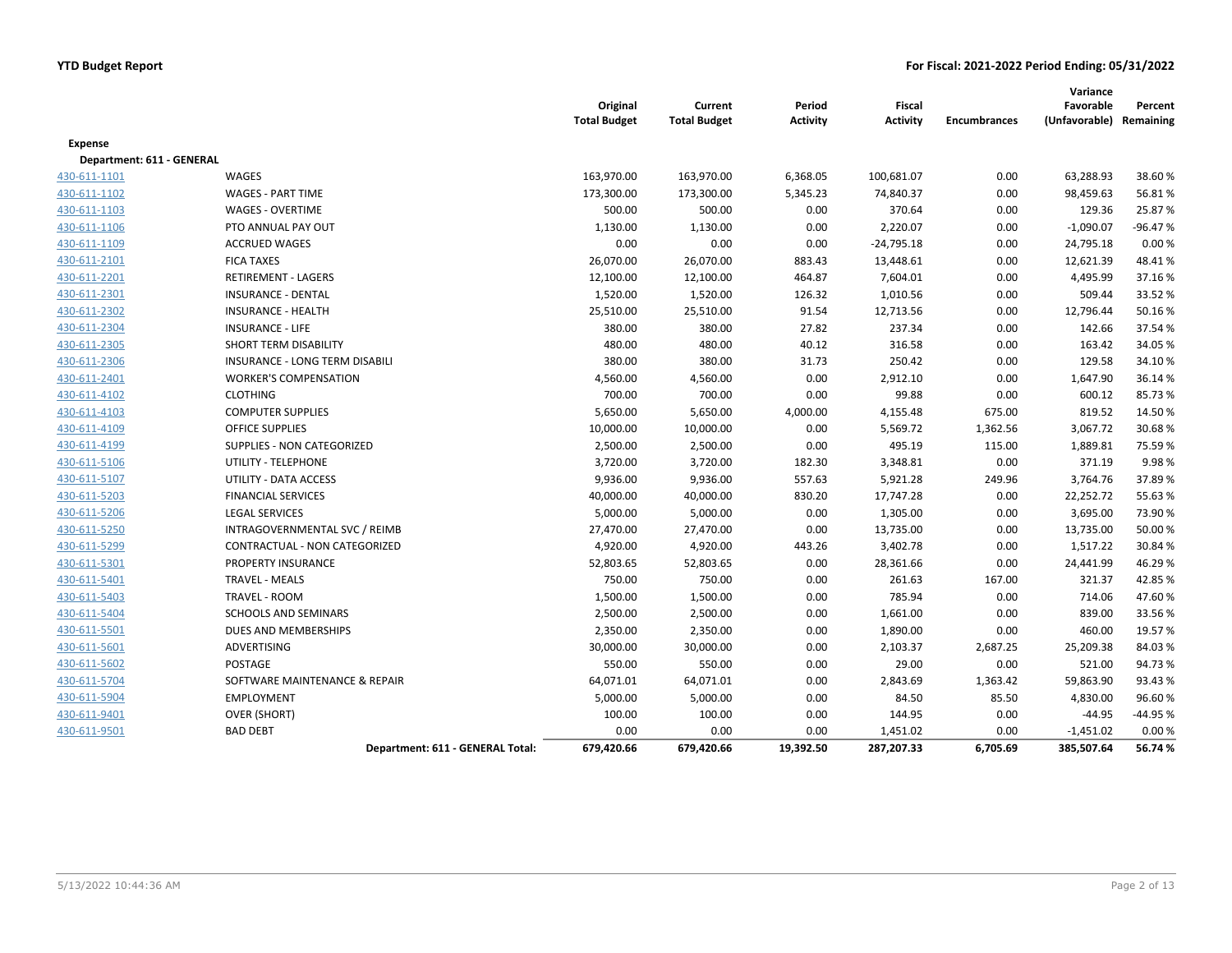|                           |                                  | Original<br><b>Total Budget</b> | Current<br><b>Total Budget</b> | Period<br><b>Activity</b> | <b>Fiscal</b><br><b>Activity</b> | <b>Encumbrances</b> | Variance<br>Favorable<br>(Unfavorable) Remaining | Percent   |
|---------------------------|----------------------------------|---------------------------------|--------------------------------|---------------------------|----------------------------------|---------------------|--------------------------------------------------|-----------|
| <b>Expense</b>            |                                  |                                 |                                |                           |                                  |                     |                                                  |           |
| Department: 611 - GENERAL |                                  |                                 |                                |                           |                                  |                     |                                                  |           |
| 430-611-1101              | WAGES                            | 163,970.00                      | 163,970.00                     | 6,368.05                  | 100,681.07                       | 0.00                | 63,288.93                                        | 38.60%    |
| 430-611-1102              | <b>WAGES - PART TIME</b>         | 173,300.00                      | 173,300.00                     | 5,345.23                  | 74,840.37                        | 0.00                | 98,459.63                                        | 56.81%    |
| 430-611-1103              | <b>WAGES - OVERTIME</b>          | 500.00                          | 500.00                         | 0.00                      | 370.64                           | 0.00                | 129.36                                           | 25.87%    |
| 430-611-1106              | PTO ANNUAL PAY OUT               | 1,130.00                        | 1,130.00                       | 0.00                      | 2,220.07                         | 0.00                | $-1,090.07$                                      | $-96.47%$ |
| 430-611-1109              | <b>ACCRUED WAGES</b>             | 0.00                            | 0.00                           | 0.00                      | $-24,795.18$                     | 0.00                | 24,795.18                                        | 0.00%     |
| 430-611-2101              | <b>FICA TAXES</b>                | 26,070.00                       | 26,070.00                      | 883.43                    | 13,448.61                        | 0.00                | 12,621.39                                        | 48.41%    |
| 430-611-2201              | <b>RETIREMENT - LAGERS</b>       | 12,100.00                       | 12,100.00                      | 464.87                    | 7,604.01                         | 0.00                | 4,495.99                                         | 37.16%    |
| 430-611-2301              | <b>INSURANCE - DENTAL</b>        | 1,520.00                        | 1,520.00                       | 126.32                    | 1,010.56                         | 0.00                | 509.44                                           | 33.52 %   |
| 430-611-2302              | <b>INSURANCE - HEALTH</b>        | 25,510.00                       | 25,510.00                      | 91.54                     | 12,713.56                        | 0.00                | 12,796.44                                        | 50.16%    |
| 430-611-2304              | <b>INSURANCE - LIFE</b>          | 380.00                          | 380.00                         | 27.82                     | 237.34                           | 0.00                | 142.66                                           | 37.54%    |
| 430-611-2305              | SHORT TERM DISABILITY            | 480.00                          | 480.00                         | 40.12                     | 316.58                           | 0.00                | 163.42                                           | 34.05%    |
| 430-611-2306              | INSURANCE - LONG TERM DISABILI   | 380.00                          | 380.00                         | 31.73                     | 250.42                           | 0.00                | 129.58                                           | 34.10%    |
| 430-611-2401              | <b>WORKER'S COMPENSATION</b>     | 4,560.00                        | 4,560.00                       | 0.00                      | 2,912.10                         | 0.00                | 1,647.90                                         | 36.14%    |
| 430-611-4102              | <b>CLOTHING</b>                  | 700.00                          | 700.00                         | 0.00                      | 99.88                            | 0.00                | 600.12                                           | 85.73%    |
| 430-611-4103              | <b>COMPUTER SUPPLIES</b>         | 5,650.00                        | 5,650.00                       | 4,000.00                  | 4,155.48                         | 675.00              | 819.52                                           | 14.50%    |
| 430-611-4109              | <b>OFFICE SUPPLIES</b>           | 10,000.00                       | 10,000.00                      | 0.00                      | 5,569.72                         | 1,362.56            | 3,067.72                                         | 30.68%    |
| 430-611-4199              | SUPPLIES - NON CATEGORIZED       | 2,500.00                        | 2,500.00                       | 0.00                      | 495.19                           | 115.00              | 1,889.81                                         | 75.59%    |
| 430-611-5106              | UTILITY - TELEPHONE              | 3,720.00                        | 3,720.00                       | 182.30                    | 3,348.81                         | 0.00                | 371.19                                           | 9.98%     |
| 430-611-5107              | UTILITY - DATA ACCESS            | 9,936.00                        | 9,936.00                       | 557.63                    | 5,921.28                         | 249.96              | 3,764.76                                         | 37.89%    |
| 430-611-5203              | <b>FINANCIAL SERVICES</b>        | 40,000.00                       | 40,000.00                      | 830.20                    | 17,747.28                        | 0.00                | 22,252.72                                        | 55.63%    |
| 430-611-5206              | <b>LEGAL SERVICES</b>            | 5,000.00                        | 5,000.00                       | 0.00                      | 1,305.00                         | 0.00                | 3,695.00                                         | 73.90%    |
| 430-611-5250              | INTRAGOVERNMENTAL SVC / REIMB    | 27,470.00                       | 27,470.00                      | 0.00                      | 13,735.00                        | 0.00                | 13,735.00                                        | 50.00 %   |
| 430-611-5299              | CONTRACTUAL - NON CATEGORIZED    | 4,920.00                        | 4,920.00                       | 443.26                    | 3,402.78                         | 0.00                | 1,517.22                                         | 30.84 %   |
| 430-611-5301              | PROPERTY INSURANCE               | 52,803.65                       | 52,803.65                      | 0.00                      | 28,361.66                        | 0.00                | 24,441.99                                        | 46.29%    |
| 430-611-5401              | <b>TRAVEL - MEALS</b>            | 750.00                          | 750.00                         | 0.00                      | 261.63                           | 167.00              | 321.37                                           | 42.85%    |
| 430-611-5403              | <b>TRAVEL - ROOM</b>             | 1,500.00                        | 1,500.00                       | 0.00                      | 785.94                           | 0.00                | 714.06                                           | 47.60%    |
| 430-611-5404              | <b>SCHOOLS AND SEMINARS</b>      | 2,500.00                        | 2,500.00                       | 0.00                      | 1,661.00                         | 0.00                | 839.00                                           | 33.56%    |
| 430-611-5501              | DUES AND MEMBERSHIPS             | 2,350.00                        | 2,350.00                       | 0.00                      | 1,890.00                         | 0.00                | 460.00                                           | 19.57%    |
| 430-611-5601              | ADVERTISING                      | 30,000.00                       | 30,000.00                      | 0.00                      | 2,103.37                         | 2,687.25            | 25,209.38                                        | 84.03%    |
| 430-611-5602              | <b>POSTAGE</b>                   | 550.00                          | 550.00                         | 0.00                      | 29.00                            | 0.00                | 521.00                                           | 94.73%    |
| 430-611-5704              | SOFTWARE MAINTENANCE & REPAIR    | 64,071.01                       | 64,071.01                      | 0.00                      | 2,843.69                         | 1,363.42            | 59,863.90                                        | 93.43%    |
| 430-611-5904              | <b>EMPLOYMENT</b>                | 5,000.00                        | 5,000.00                       | 0.00                      | 84.50                            | 85.50               | 4,830.00                                         | 96.60%    |
| 430-611-9401              | <b>OVER (SHORT)</b>              | 100.00                          | 100.00                         | 0.00                      | 144.95                           | 0.00                | $-44.95$                                         | -44.95 %  |
| 430-611-9501              | <b>BAD DEBT</b>                  | 0.00                            | 0.00                           | 0.00                      | 1,451.02                         | 0.00                | $-1,451.02$                                      | 0.00%     |
|                           | Department: 611 - GENERAL Total: | 679,420.66                      | 679,420.66                     | 19,392.50                 | 287,207.33                       | 6,705.69            | 385,507.64                                       | 56.74 %   |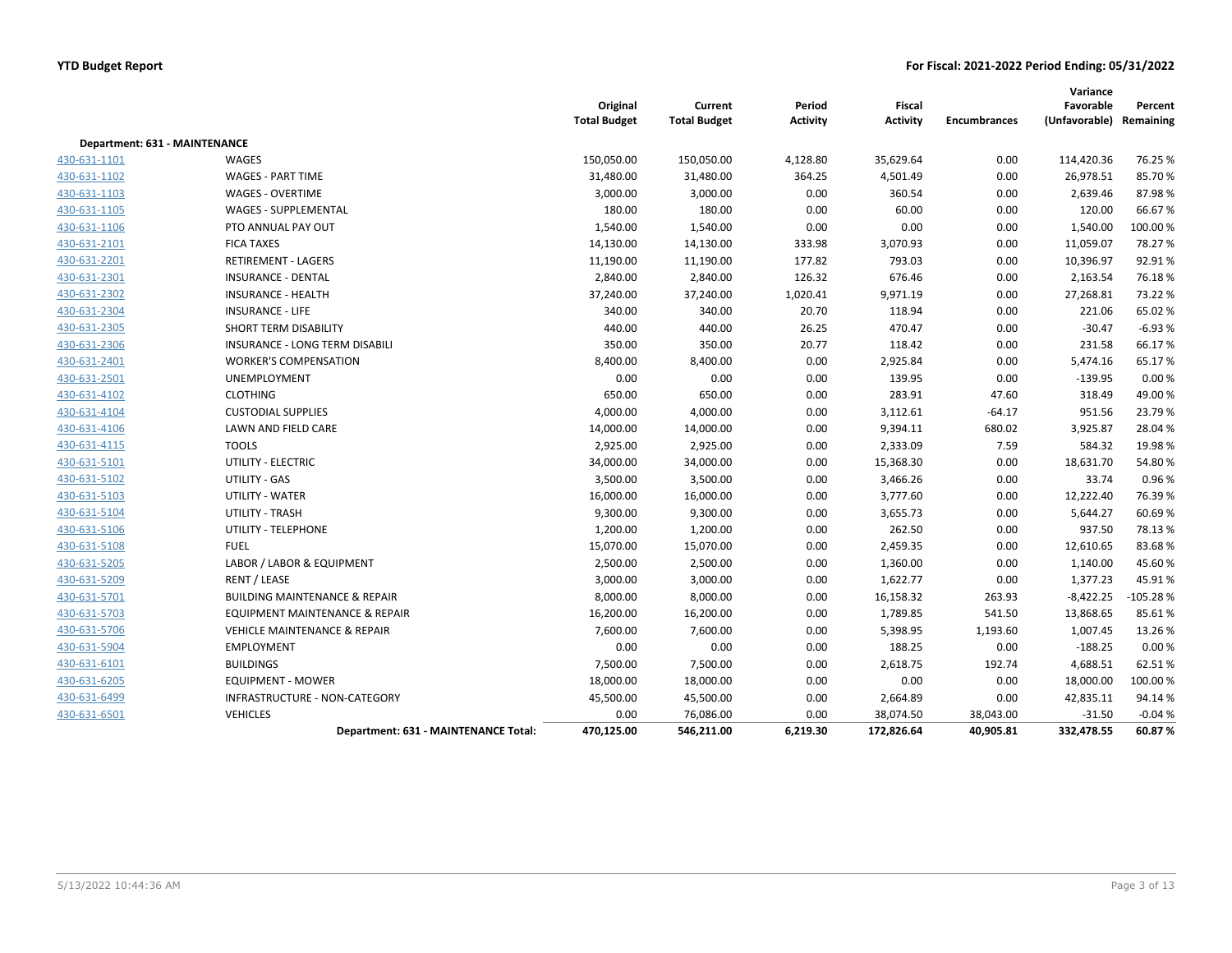|                               |                                          | Original<br><b>Total Budget</b> | Current<br><b>Total Budget</b> | Period<br><b>Activity</b> | Fiscal<br><b>Activity</b> | <b>Encumbrances</b> | Variance<br>Favorable<br>(Unfavorable) Remaining | Percent    |
|-------------------------------|------------------------------------------|---------------------------------|--------------------------------|---------------------------|---------------------------|---------------------|--------------------------------------------------|------------|
| Department: 631 - MAINTENANCE |                                          |                                 |                                |                           |                           |                     |                                                  |            |
| 430-631-1101                  | WAGES                                    | 150,050.00                      | 150,050.00                     | 4,128.80                  | 35,629.64                 | 0.00                | 114,420.36                                       | 76.25 %    |
| 430-631-1102                  | <b>WAGES - PART TIME</b>                 | 31,480.00                       | 31,480.00                      | 364.25                    | 4,501.49                  | 0.00                | 26,978.51                                        | 85.70%     |
| 430-631-1103                  | <b>WAGES - OVERTIME</b>                  | 3,000.00                        | 3,000.00                       | 0.00                      | 360.54                    | 0.00                | 2,639.46                                         | 87.98%     |
| 430-631-1105                  | WAGES - SUPPLEMENTAL                     | 180.00                          | 180.00                         | 0.00                      | 60.00                     | 0.00                | 120.00                                           | 66.67%     |
| 430-631-1106                  | PTO ANNUAL PAY OUT                       | 1,540.00                        | 1,540.00                       | 0.00                      | 0.00                      | 0.00                | 1,540.00                                         | 100.00%    |
| 430-631-2101                  | <b>FICA TAXES</b>                        | 14,130.00                       | 14,130.00                      | 333.98                    | 3,070.93                  | 0.00                | 11,059.07                                        | 78.27%     |
| 430-631-2201                  | <b>RETIREMENT - LAGERS</b>               | 11,190.00                       | 11,190.00                      | 177.82                    | 793.03                    | 0.00                | 10,396.97                                        | 92.91%     |
| 430-631-2301                  | <b>INSURANCE - DENTAL</b>                | 2,840.00                        | 2,840.00                       | 126.32                    | 676.46                    | 0.00                | 2,163.54                                         | 76.18%     |
| 430-631-2302                  | <b>INSURANCE - HEALTH</b>                | 37,240.00                       | 37,240.00                      | 1,020.41                  | 9,971.19                  | 0.00                | 27,268.81                                        | 73.22 %    |
| 430-631-2304                  | <b>INSURANCE - LIFE</b>                  | 340.00                          | 340.00                         | 20.70                     | 118.94                    | 0.00                | 221.06                                           | 65.02%     |
| 430-631-2305                  | SHORT TERM DISABILITY                    | 440.00                          | 440.00                         | 26.25                     | 470.47                    | 0.00                | $-30.47$                                         | $-6.93%$   |
| 430-631-2306                  | INSURANCE - LONG TERM DISABILI           | 350.00                          | 350.00                         | 20.77                     | 118.42                    | 0.00                | 231.58                                           | 66.17%     |
| 430-631-2401                  | <b>WORKER'S COMPENSATION</b>             | 8,400.00                        | 8,400.00                       | 0.00                      | 2,925.84                  | 0.00                | 5,474.16                                         | 65.17%     |
| 430-631-2501                  | UNEMPLOYMENT                             | 0.00                            | 0.00                           | 0.00                      | 139.95                    | 0.00                | $-139.95$                                        | 0.00%      |
| 430-631-4102                  | <b>CLOTHING</b>                          | 650.00                          | 650.00                         | 0.00                      | 283.91                    | 47.60               | 318.49                                           | 49.00%     |
| 430-631-4104                  | <b>CUSTODIAL SUPPLIES</b>                | 4,000.00                        | 4,000.00                       | 0.00                      | 3,112.61                  | $-64.17$            | 951.56                                           | 23.79%     |
| 430-631-4106                  | <b>LAWN AND FIELD CARE</b>               | 14,000.00                       | 14,000.00                      | 0.00                      | 9,394.11                  | 680.02              | 3,925.87                                         | 28.04%     |
| 430-631-4115                  | <b>TOOLS</b>                             | 2,925.00                        | 2,925.00                       | 0.00                      | 2,333.09                  | 7.59                | 584.32                                           | 19.98%     |
| 430-631-5101                  | UTILITY - ELECTRIC                       | 34,000.00                       | 34,000.00                      | 0.00                      | 15,368.30                 | 0.00                | 18,631.70                                        | 54.80%     |
| 430-631-5102                  | UTILITY - GAS                            | 3,500.00                        | 3,500.00                       | 0.00                      | 3,466.26                  | 0.00                | 33.74                                            | 0.96%      |
| 430-631-5103                  | UTILITY - WATER                          | 16,000.00                       | 16,000.00                      | 0.00                      | 3,777.60                  | 0.00                | 12,222.40                                        | 76.39%     |
| 430-631-5104                  | UTILITY - TRASH                          | 9,300.00                        | 9,300.00                       | 0.00                      | 3,655.73                  | 0.00                | 5,644.27                                         | 60.69%     |
| 430-631-5106                  | UTILITY - TELEPHONE                      | 1,200.00                        | 1,200.00                       | 0.00                      | 262.50                    | 0.00                | 937.50                                           | 78.13%     |
| 430-631-5108                  | <b>FUEL</b>                              | 15,070.00                       | 15,070.00                      | 0.00                      | 2,459.35                  | 0.00                | 12,610.65                                        | 83.68%     |
| 430-631-5205                  | LABOR / LABOR & EQUIPMENT                | 2,500.00                        | 2,500.00                       | 0.00                      | 1,360.00                  | 0.00                | 1,140.00                                         | 45.60%     |
| 430-631-5209                  | RENT / LEASE                             | 3,000.00                        | 3,000.00                       | 0.00                      | 1,622.77                  | 0.00                | 1,377.23                                         | 45.91%     |
| 430-631-5701                  | <b>BUILDING MAINTENANCE &amp; REPAIR</b> | 8,000.00                        | 8,000.00                       | 0.00                      | 16,158.32                 | 263.93              | $-8,422.25$                                      | $-105.28%$ |
| 430-631-5703                  | EQUIPMENT MAINTENANCE & REPAIR           | 16,200.00                       | 16,200.00                      | 0.00                      | 1,789.85                  | 541.50              | 13,868.65                                        | 85.61%     |
| 430-631-5706                  | <b>VEHICLE MAINTENANCE &amp; REPAIR</b>  | 7,600.00                        | 7,600.00                       | 0.00                      | 5,398.95                  | 1,193.60            | 1,007.45                                         | 13.26%     |
| 430-631-5904                  | <b>EMPLOYMENT</b>                        | 0.00                            | 0.00                           | 0.00                      | 188.25                    | 0.00                | $-188.25$                                        | 0.00%      |
| 430-631-6101                  | <b>BUILDINGS</b>                         | 7,500.00                        | 7,500.00                       | 0.00                      | 2,618.75                  | 192.74              | 4,688.51                                         | 62.51%     |
| 430-631-6205                  | <b>EQUIPMENT - MOWER</b>                 | 18,000.00                       | 18,000.00                      | 0.00                      | 0.00                      | 0.00                | 18,000.00                                        | 100.00 %   |
| 430-631-6499                  | INFRASTRUCTURE - NON-CATEGORY            | 45,500.00                       | 45,500.00                      | 0.00                      | 2,664.89                  | 0.00                | 42,835.11                                        | 94.14 %    |
| 430-631-6501                  | <b>VEHICLES</b>                          | 0.00                            | 76,086.00                      | 0.00                      | 38,074.50                 | 38,043.00           | $-31.50$                                         | $-0.04%$   |
|                               | Department: 631 - MAINTENANCE Total:     | 470,125.00                      | 546,211.00                     | 6,219.30                  | 172,826.64                | 40,905.81           | 332,478.55                                       | 60.87%     |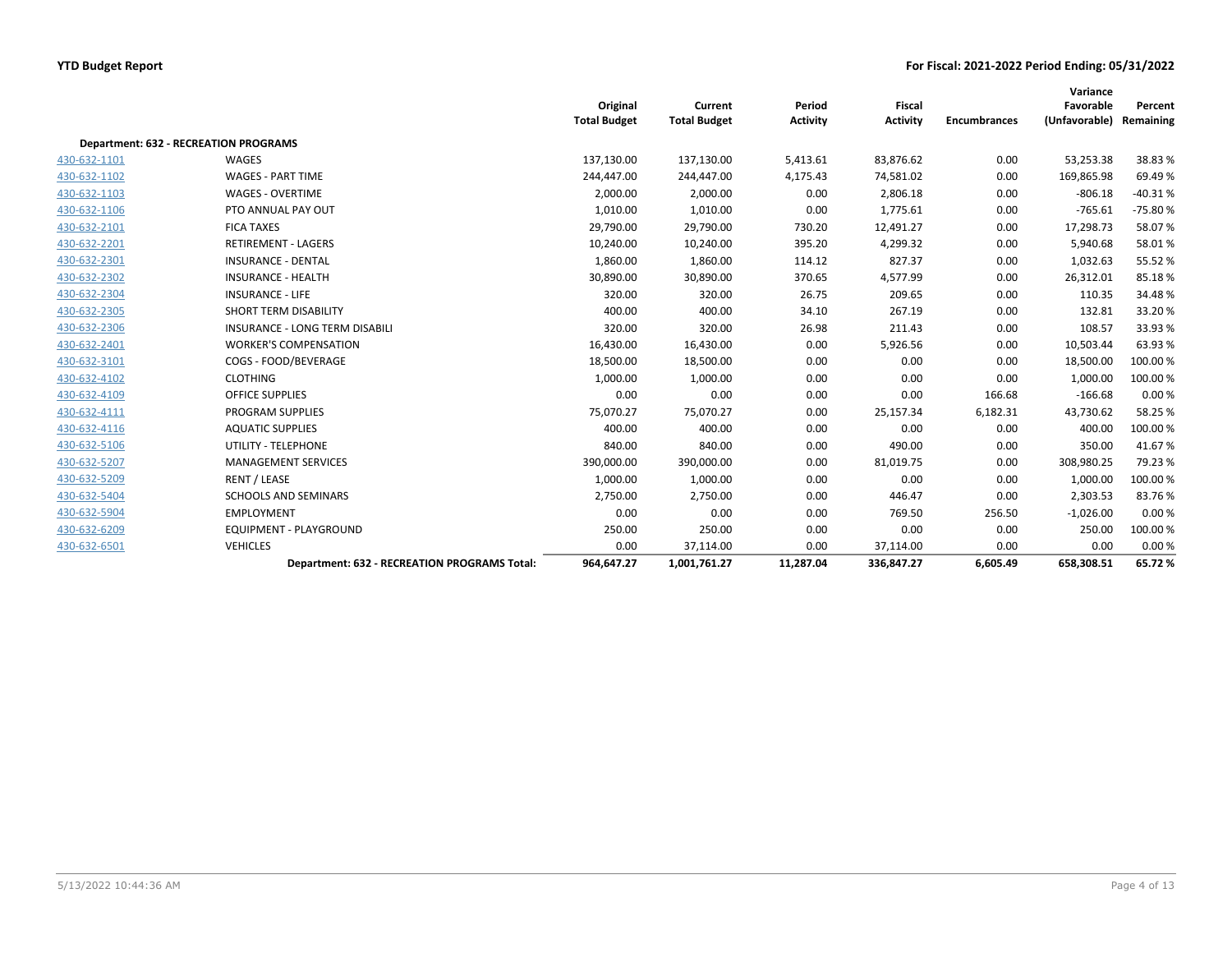|              |                                                     | Original<br><b>Total Budget</b> | Current<br><b>Total Budget</b> | Period<br><b>Activity</b> | Fiscal<br><b>Activity</b> | <b>Encumbrances</b> | Variance<br>Favorable<br>(Unfavorable) | Percent<br>Remaining |
|--------------|-----------------------------------------------------|---------------------------------|--------------------------------|---------------------------|---------------------------|---------------------|----------------------------------------|----------------------|
|              | <b>Department: 632 - RECREATION PROGRAMS</b>        |                                 |                                |                           |                           |                     |                                        |                      |
| 430-632-1101 | WAGES                                               | 137,130.00                      | 137,130.00                     | 5,413.61                  | 83,876.62                 | 0.00                | 53,253.38                              | 38.83%               |
| 430-632-1102 | <b>WAGES - PART TIME</b>                            | 244,447.00                      | 244,447.00                     | 4,175.43                  | 74,581.02                 | 0.00                | 169,865.98                             | 69.49%               |
| 430-632-1103 | <b>WAGES - OVERTIME</b>                             | 2,000.00                        | 2,000.00                       | 0.00                      | 2,806.18                  | 0.00                | $-806.18$                              | $-40.31%$            |
| 430-632-1106 | PTO ANNUAL PAY OUT                                  | 1,010.00                        | 1,010.00                       | 0.00                      | 1,775.61                  | 0.00                | $-765.61$                              | $-75.80%$            |
| 430-632-2101 | <b>FICA TAXES</b>                                   | 29,790.00                       | 29,790.00                      | 730.20                    | 12,491.27                 | 0.00                | 17,298.73                              | 58.07%               |
| 430-632-2201 | <b>RETIREMENT - LAGERS</b>                          | 10,240.00                       | 10,240.00                      | 395.20                    | 4,299.32                  | 0.00                | 5,940.68                               | 58.01%               |
| 430-632-2301 | <b>INSURANCE - DENTAL</b>                           | 1,860.00                        | 1,860.00                       | 114.12                    | 827.37                    | 0.00                | 1,032.63                               | 55.52%               |
| 430-632-2302 | <b>INSURANCE - HEALTH</b>                           | 30,890.00                       | 30,890.00                      | 370.65                    | 4,577.99                  | 0.00                | 26,312.01                              | 85.18%               |
| 430-632-2304 | <b>INSURANCE - LIFE</b>                             | 320.00                          | 320.00                         | 26.75                     | 209.65                    | 0.00                | 110.35                                 | 34.48%               |
| 430-632-2305 | SHORT TERM DISABILITY                               | 400.00                          | 400.00                         | 34.10                     | 267.19                    | 0.00                | 132.81                                 | 33.20%               |
| 430-632-2306 | <b>INSURANCE - LONG TERM DISABILI</b>               | 320.00                          | 320.00                         | 26.98                     | 211.43                    | 0.00                | 108.57                                 | 33.93%               |
| 430-632-2401 | <b>WORKER'S COMPENSATION</b>                        | 16,430.00                       | 16,430.00                      | 0.00                      | 5,926.56                  | 0.00                | 10,503.44                              | 63.93%               |
| 430-632-3101 | COGS - FOOD/BEVERAGE                                | 18,500.00                       | 18,500.00                      | 0.00                      | 0.00                      | 0.00                | 18,500.00                              | 100.00%              |
| 430-632-4102 | <b>CLOTHING</b>                                     | 1,000.00                        | 1,000.00                       | 0.00                      | 0.00                      | 0.00                | 1,000.00                               | 100.00%              |
| 430-632-4109 | <b>OFFICE SUPPLIES</b>                              | 0.00                            | 0.00                           | 0.00                      | 0.00                      | 166.68              | $-166.68$                              | 0.00%                |
| 430-632-4111 | PROGRAM SUPPLIES                                    | 75,070.27                       | 75,070.27                      | 0.00                      | 25,157.34                 | 6,182.31            | 43,730.62                              | 58.25 %              |
| 430-632-4116 | <b>AQUATIC SUPPLIES</b>                             | 400.00                          | 400.00                         | 0.00                      | 0.00                      | 0.00                | 400.00                                 | 100.00%              |
| 430-632-5106 | UTILITY - TELEPHONE                                 | 840.00                          | 840.00                         | 0.00                      | 490.00                    | 0.00                | 350.00                                 | 41.67%               |
| 430-632-5207 | <b>MANAGEMENT SERVICES</b>                          | 390,000.00                      | 390,000.00                     | 0.00                      | 81,019.75                 | 0.00                | 308,980.25                             | 79.23 %              |
| 430-632-5209 | RENT / LEASE                                        | 1,000.00                        | 1,000.00                       | 0.00                      | 0.00                      | 0.00                | 1,000.00                               | 100.00%              |
| 430-632-5404 | <b>SCHOOLS AND SEMINARS</b>                         | 2,750.00                        | 2,750.00                       | 0.00                      | 446.47                    | 0.00                | 2,303.53                               | 83.76%               |
| 430-632-5904 | <b>EMPLOYMENT</b>                                   | 0.00                            | 0.00                           | 0.00                      | 769.50                    | 256.50              | $-1,026.00$                            | 0.00%                |
| 430-632-6209 | <b>EQUIPMENT - PLAYGROUND</b>                       | 250.00                          | 250.00                         | 0.00                      | 0.00                      | 0.00                | 250.00                                 | 100.00%              |
| 430-632-6501 | <b>VEHICLES</b>                                     | 0.00                            | 37,114.00                      | 0.00                      | 37,114.00                 | 0.00                | 0.00                                   | 0.00%                |
|              | <b>Department: 632 - RECREATION PROGRAMS Total:</b> | 964,647.27                      | 1,001,761.27                   | 11,287.04                 | 336,847.27                | 6,605.49            | 658,308.51                             | 65.72%               |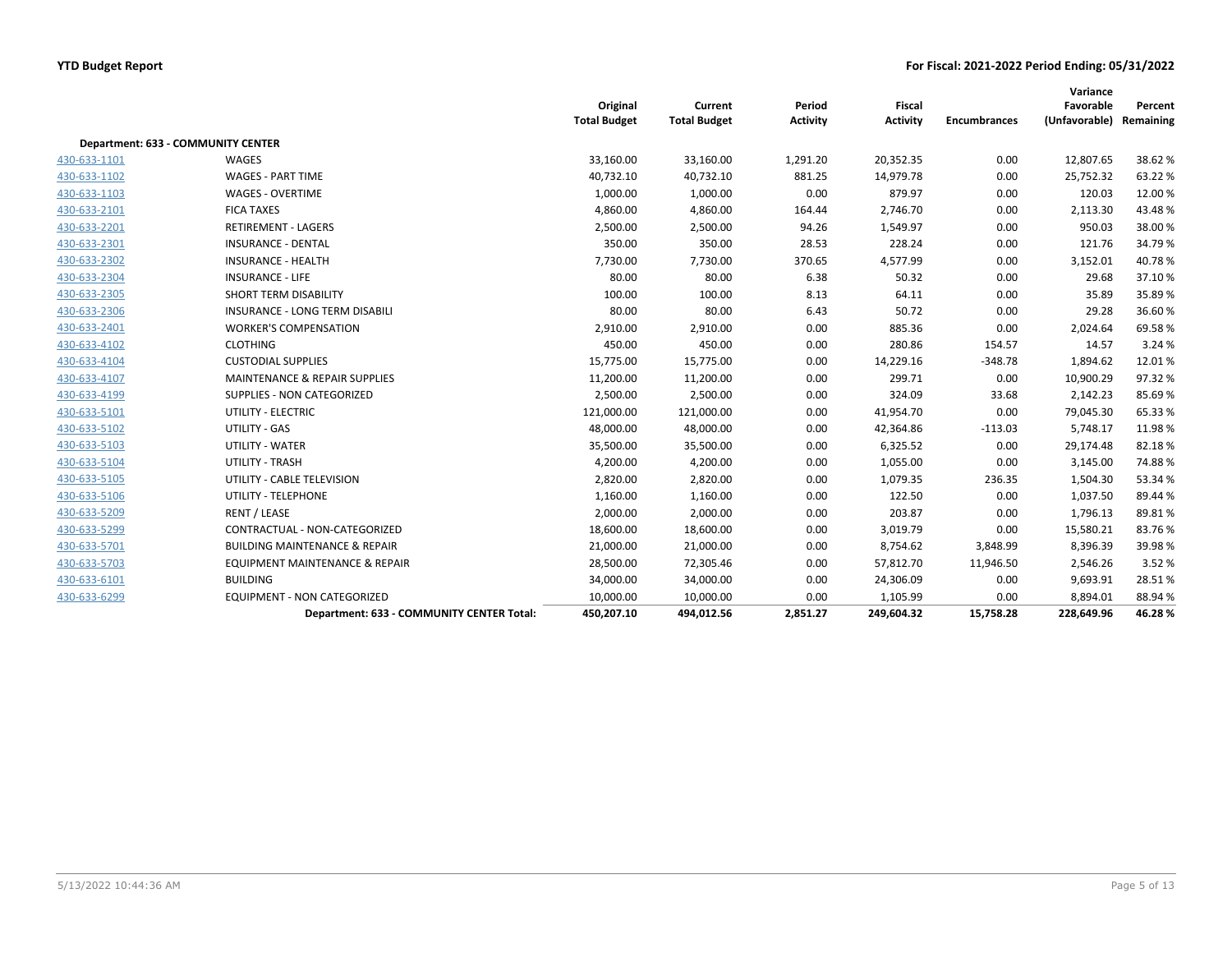|              |                                           | Original<br><b>Total Budget</b> | Current<br><b>Total Budget</b> | Period<br><b>Activity</b> | Fiscal<br><b>Activity</b> | <b>Encumbrances</b> | Variance<br>Favorable<br>(Unfavorable) | Percent<br>Remaining |
|--------------|-------------------------------------------|---------------------------------|--------------------------------|---------------------------|---------------------------|---------------------|----------------------------------------|----------------------|
|              | Department: 633 - COMMUNITY CENTER        |                                 |                                |                           |                           |                     |                                        |                      |
| 430-633-1101 | WAGES                                     | 33,160.00                       | 33,160.00                      | 1,291.20                  | 20,352.35                 | 0.00                | 12,807.65                              | 38.62%               |
| 430-633-1102 | <b>WAGES - PART TIME</b>                  | 40,732.10                       | 40,732.10                      | 881.25                    | 14,979.78                 | 0.00                | 25,752.32                              | 63.22 %              |
| 430-633-1103 | <b>WAGES - OVERTIME</b>                   | 1,000.00                        | 1,000.00                       | 0.00                      | 879.97                    | 0.00                | 120.03                                 | 12.00%               |
| 430-633-2101 | <b>FICA TAXES</b>                         | 4,860.00                        | 4,860.00                       | 164.44                    | 2,746.70                  | 0.00                | 2,113.30                               | 43.48%               |
| 430-633-2201 | <b>RETIREMENT - LAGERS</b>                | 2,500.00                        | 2,500.00                       | 94.26                     | 1,549.97                  | 0.00                | 950.03                                 | 38.00%               |
| 430-633-2301 | <b>INSURANCE - DENTAL</b>                 | 350.00                          | 350.00                         | 28.53                     | 228.24                    | 0.00                | 121.76                                 | 34.79%               |
| 430-633-2302 | <b>INSURANCE - HEALTH</b>                 | 7,730.00                        | 7,730.00                       | 370.65                    | 4,577.99                  | 0.00                | 3,152.01                               | 40.78%               |
| 430-633-2304 | <b>INSURANCE - LIFE</b>                   | 80.00                           | 80.00                          | 6.38                      | 50.32                     | 0.00                | 29.68                                  | 37.10%               |
| 430-633-2305 | <b>SHORT TERM DISABILITY</b>              | 100.00                          | 100.00                         | 8.13                      | 64.11                     | 0.00                | 35.89                                  | 35.89%               |
| 430-633-2306 | INSURANCE - LONG TERM DISABILI            | 80.00                           | 80.00                          | 6.43                      | 50.72                     | 0.00                | 29.28                                  | 36.60%               |
| 430-633-2401 | <b>WORKER'S COMPENSATION</b>              | 2,910.00                        | 2,910.00                       | 0.00                      | 885.36                    | 0.00                | 2,024.64                               | 69.58%               |
| 430-633-4102 | <b>CLOTHING</b>                           | 450.00                          | 450.00                         | 0.00                      | 280.86                    | 154.57              | 14.57                                  | 3.24 %               |
| 430-633-4104 | <b>CUSTODIAL SUPPLIES</b>                 | 15,775.00                       | 15,775.00                      | 0.00                      | 14,229.16                 | $-348.78$           | 1,894.62                               | 12.01%               |
| 430-633-4107 | <b>MAINTENANCE &amp; REPAIR SUPPLIES</b>  | 11,200.00                       | 11,200.00                      | 0.00                      | 299.71                    | 0.00                | 10,900.29                              | 97.32%               |
| 430-633-4199 | SUPPLIES - NON CATEGORIZED                | 2,500.00                        | 2,500.00                       | 0.00                      | 324.09                    | 33.68               | 2,142.23                               | 85.69%               |
| 430-633-5101 | UTILITY - ELECTRIC                        | 121,000.00                      | 121,000.00                     | 0.00                      | 41,954.70                 | 0.00                | 79,045.30                              | 65.33%               |
| 430-633-5102 | UTILITY - GAS                             | 48,000.00                       | 48,000.00                      | 0.00                      | 42,364.86                 | $-113.03$           | 5,748.17                               | 11.98%               |
| 430-633-5103 | UTILITY - WATER                           | 35,500.00                       | 35,500.00                      | 0.00                      | 6,325.52                  | 0.00                | 29,174.48                              | 82.18%               |
| 430-633-5104 | <b>UTILITY - TRASH</b>                    | 4,200.00                        | 4,200.00                       | 0.00                      | 1,055.00                  | 0.00                | 3,145.00                               | 74.88%               |
| 430-633-5105 | UTILITY - CABLE TELEVISION                | 2,820.00                        | 2,820.00                       | 0.00                      | 1,079.35                  | 236.35              | 1,504.30                               | 53.34 %              |
| 430-633-5106 | UTILITY - TELEPHONE                       | 1,160.00                        | 1,160.00                       | 0.00                      | 122.50                    | 0.00                | 1,037.50                               | 89.44 %              |
| 430-633-5209 | RENT / LEASE                              | 2,000.00                        | 2,000.00                       | 0.00                      | 203.87                    | 0.00                | 1,796.13                               | 89.81%               |
| 430-633-5299 | CONTRACTUAL - NON-CATEGORIZED             | 18,600.00                       | 18,600.00                      | 0.00                      | 3,019.79                  | 0.00                | 15,580.21                              | 83.76%               |
| 430-633-5701 | <b>BUILDING MAINTENANCE &amp; REPAIR</b>  | 21,000.00                       | 21,000.00                      | 0.00                      | 8,754.62                  | 3,848.99            | 8,396.39                               | 39.98%               |
| 430-633-5703 | <b>EQUIPMENT MAINTENANCE &amp; REPAIR</b> | 28,500.00                       | 72,305.46                      | 0.00                      | 57,812.70                 | 11,946.50           | 2,546.26                               | 3.52 %               |
| 430-633-6101 | <b>BUILDING</b>                           | 34,000.00                       | 34,000.00                      | 0.00                      | 24,306.09                 | 0.00                | 9,693.91                               | 28.51%               |
| 430-633-6299 | <b>EQUIPMENT - NON CATEGORIZED</b>        | 10,000.00                       | 10,000.00                      | 0.00                      | 1,105.99                  | 0.00                | 8,894.01                               | 88.94%               |
|              | Department: 633 - COMMUNITY CENTER Total: | 450,207.10                      | 494,012.56                     | 2,851.27                  | 249,604.32                | 15,758.28           | 228,649.96                             | 46.28%               |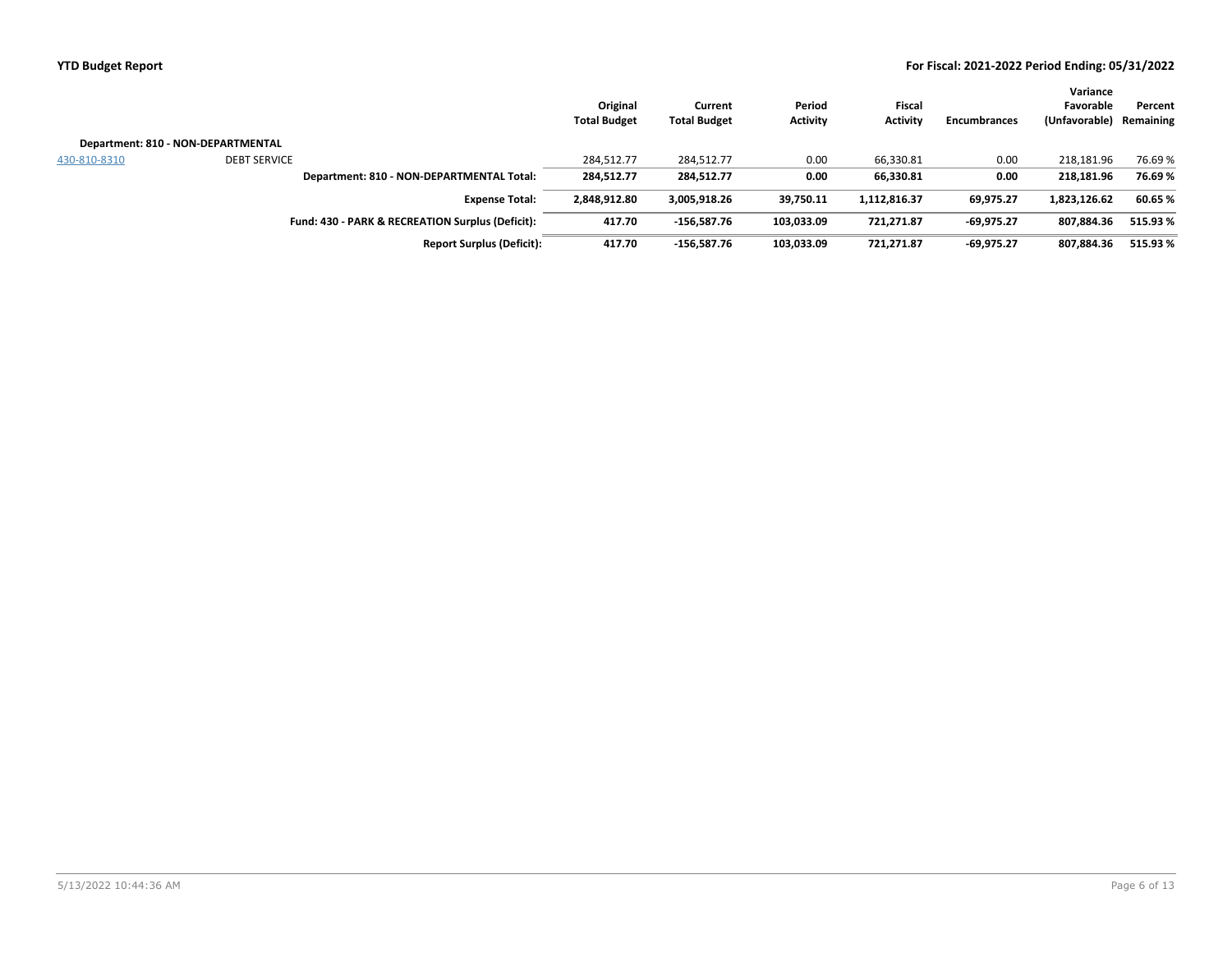|              |                                                  | Original<br><b>Total Budget</b> | Current<br><b>Total Budget</b> | Period<br><b>Activity</b> | <b>Fiscal</b><br><b>Activity</b> | <b>Encumbrances</b> | Variance<br>Favorable<br>(Unfavorable) | Percent<br>Remaining |
|--------------|--------------------------------------------------|---------------------------------|--------------------------------|---------------------------|----------------------------------|---------------------|----------------------------------------|----------------------|
|              | Department: 810 - NON-DEPARTMENTAL               |                                 |                                |                           |                                  |                     |                                        |                      |
| 430-810-8310 | <b>DEBT SERVICE</b>                              | 284,512.77                      | 284,512.77                     | 0.00                      | 66,330.81                        | 0.00                | 218,181.96                             | 76.69%               |
|              | Department: 810 - NON-DEPARTMENTAL Total:        | 284,512.77                      | 284,512.77                     | 0.00                      | 66,330.81                        | 0.00                | 218.181.96                             | 76.69%               |
|              | <b>Expense Total:</b>                            | 2,848,912.80                    | 3,005,918.26                   | 39,750.11                 | 1,112,816.37                     | 69,975.27           | 1,823,126.62                           | 60.65%               |
|              | Fund: 430 - PARK & RECREATION Surplus (Deficit): | 417.70                          | $-156.587.76$                  | 103,033.09                | 721,271.87                       | $-69.975.27$        | 807.884.36                             | 515.93%              |
|              | <b>Report Surplus (Deficit):</b>                 | 417.70                          | $-156.587.76$                  | 103.033.09                | 721.271.87                       | $-69.975.27$        | 807.884.36                             | 515.93%              |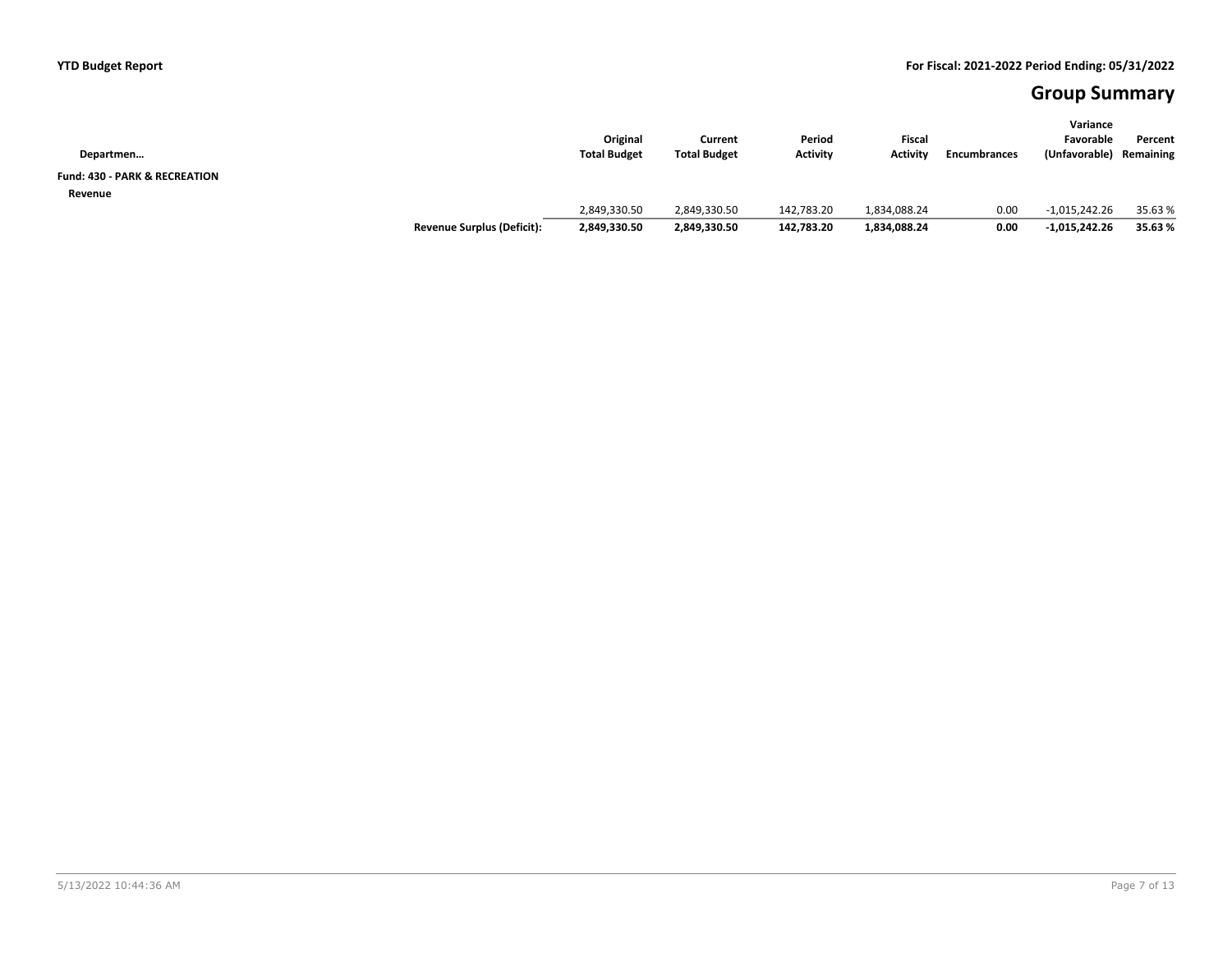## **Group Summary**

| Departmen                                |                                   | Original<br><b>Total Budget</b> | Current<br><b>Total Budget</b> | Period<br><b>Activity</b> | Fiscal<br><b>Activity</b> | <b>Encumbrances</b> | Variance<br>Favorable<br>(Unfavorable) | Percent<br>Remaining |
|------------------------------------------|-----------------------------------|---------------------------------|--------------------------------|---------------------------|---------------------------|---------------------|----------------------------------------|----------------------|
| <b>Fund: 430 - PARK &amp; RECREATION</b> |                                   |                                 |                                |                           |                           |                     |                                        |                      |
| Revenue                                  |                                   | 2,849,330.50                    | 2,849,330.50                   | 142,783.20                | 1,834,088.24              | 0.00                | $-1,015,242.26$                        | 35.63 %              |
|                                          | <b>Revenue Surplus (Deficit):</b> | 2,849,330.50                    | 2,849,330.50                   | 142,783.20                | 1,834,088.24              | 0.00                | $-1,015,242.26$                        | 35.63%               |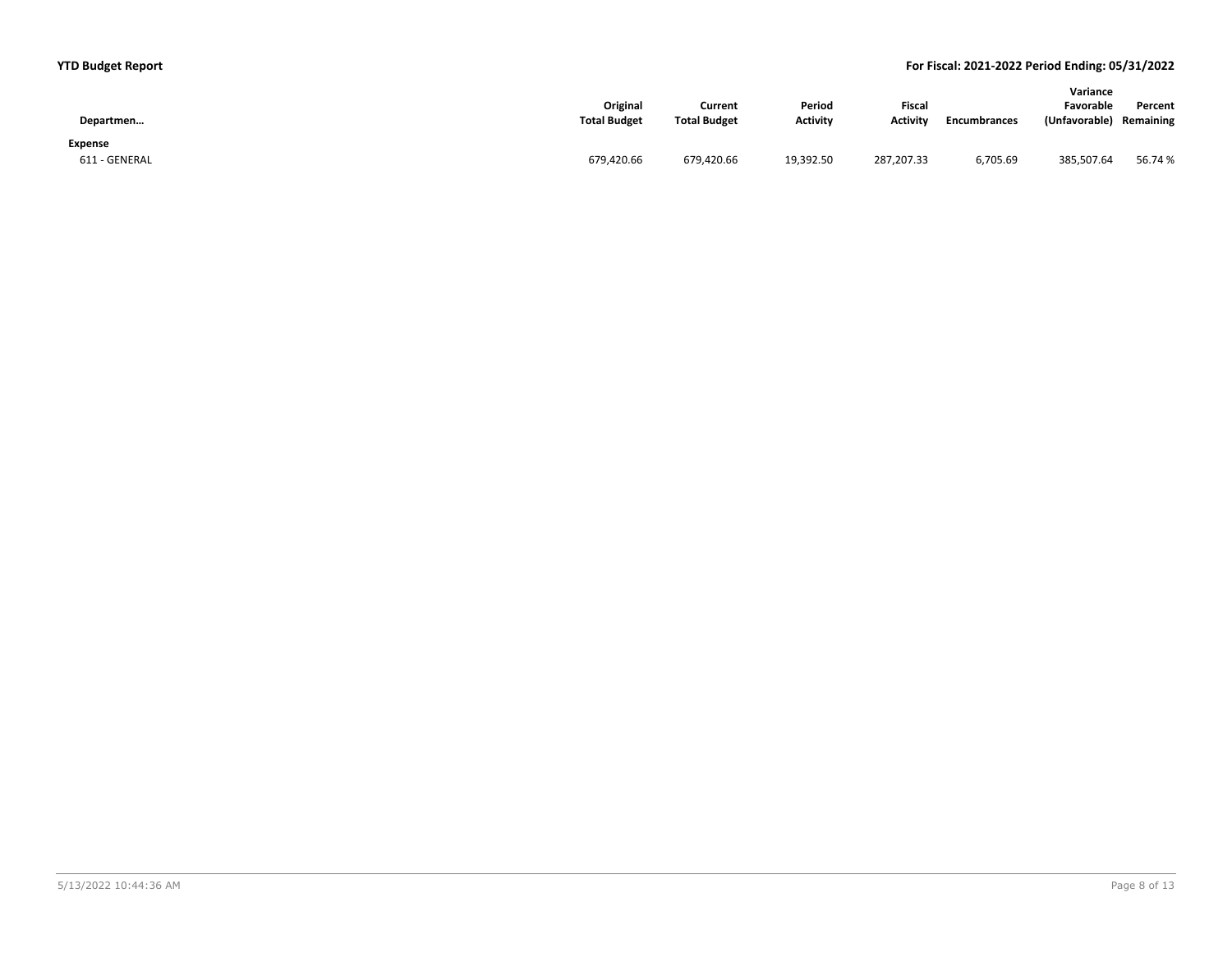| Departmen     | Original<br><b>Total Budget</b> | Current<br><b>Total Budget</b> | Period<br><b>Activity</b> | Fiscal<br><b>Activity</b> | <b>Encumbrances</b> | Variance<br>Favorable<br>(Unfavorable) | Percent<br>Remaining |
|---------------|---------------------------------|--------------------------------|---------------------------|---------------------------|---------------------|----------------------------------------|----------------------|
| Expense       |                                 |                                |                           |                           |                     |                                        |                      |
| 611 - GENERAL | 679,420.66                      | 679,420.66                     | 19,392.50                 | 287,207.33                | 6,705.69            | 385,507.64                             | 56.74 %              |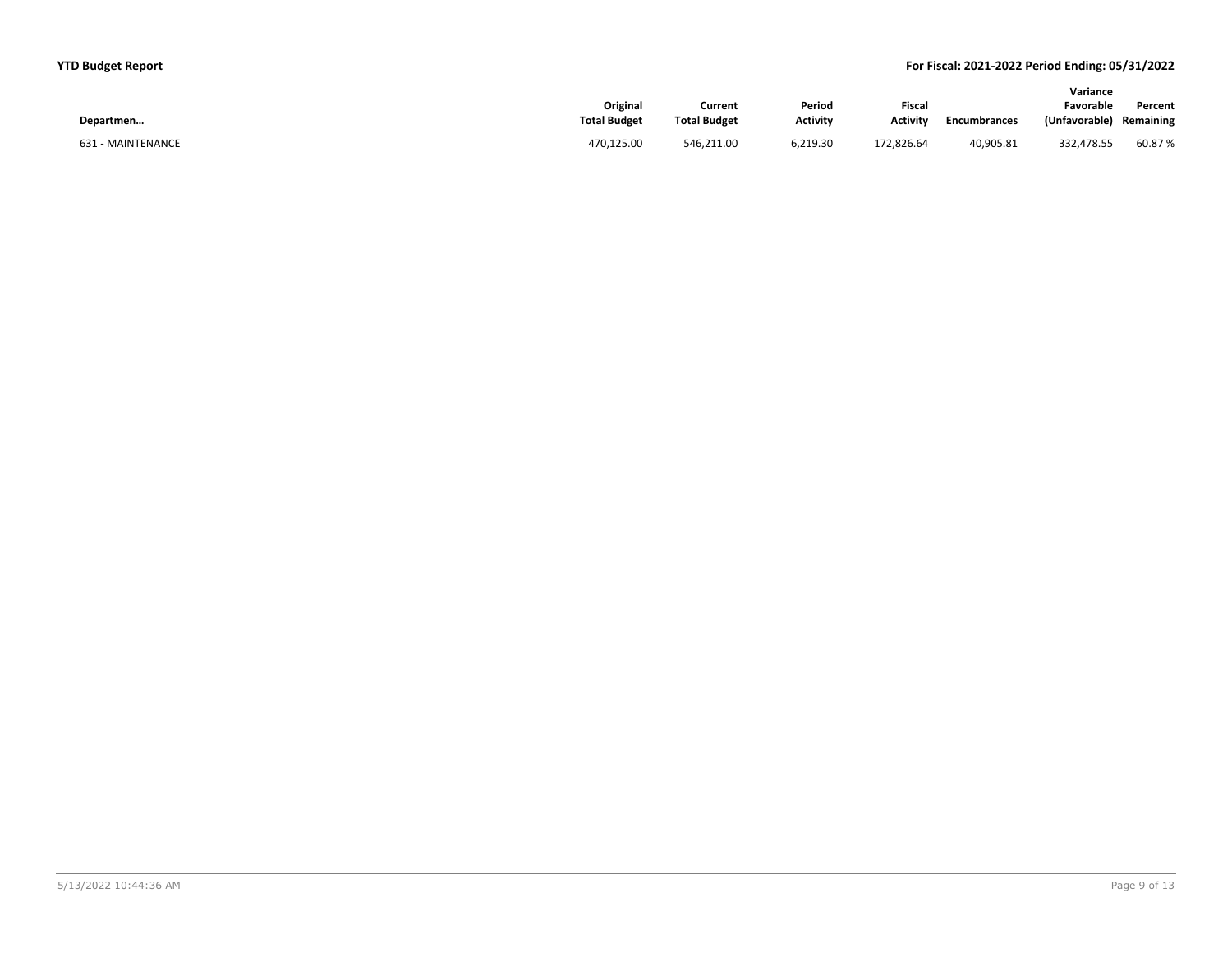|                   |                     |                     |                 |                 |              | Variance      |           |
|-------------------|---------------------|---------------------|-----------------|-----------------|--------------|---------------|-----------|
|                   | Original            | Current             | Period          | Fiscal          |              | Favorable     | Percent   |
| Departmen         | <b>Total Budget</b> | <b>Total Budget</b> | <b>Activity</b> | <b>Activity</b> | Encumbrances | (Unfavorable) | Remaining |
| 631 - MAINTENANCE | 470,125.00          | 546,211.00          | 6,219.30        | 172,826.64      | 40,905.81    | 332,478.55    | 60.87%    |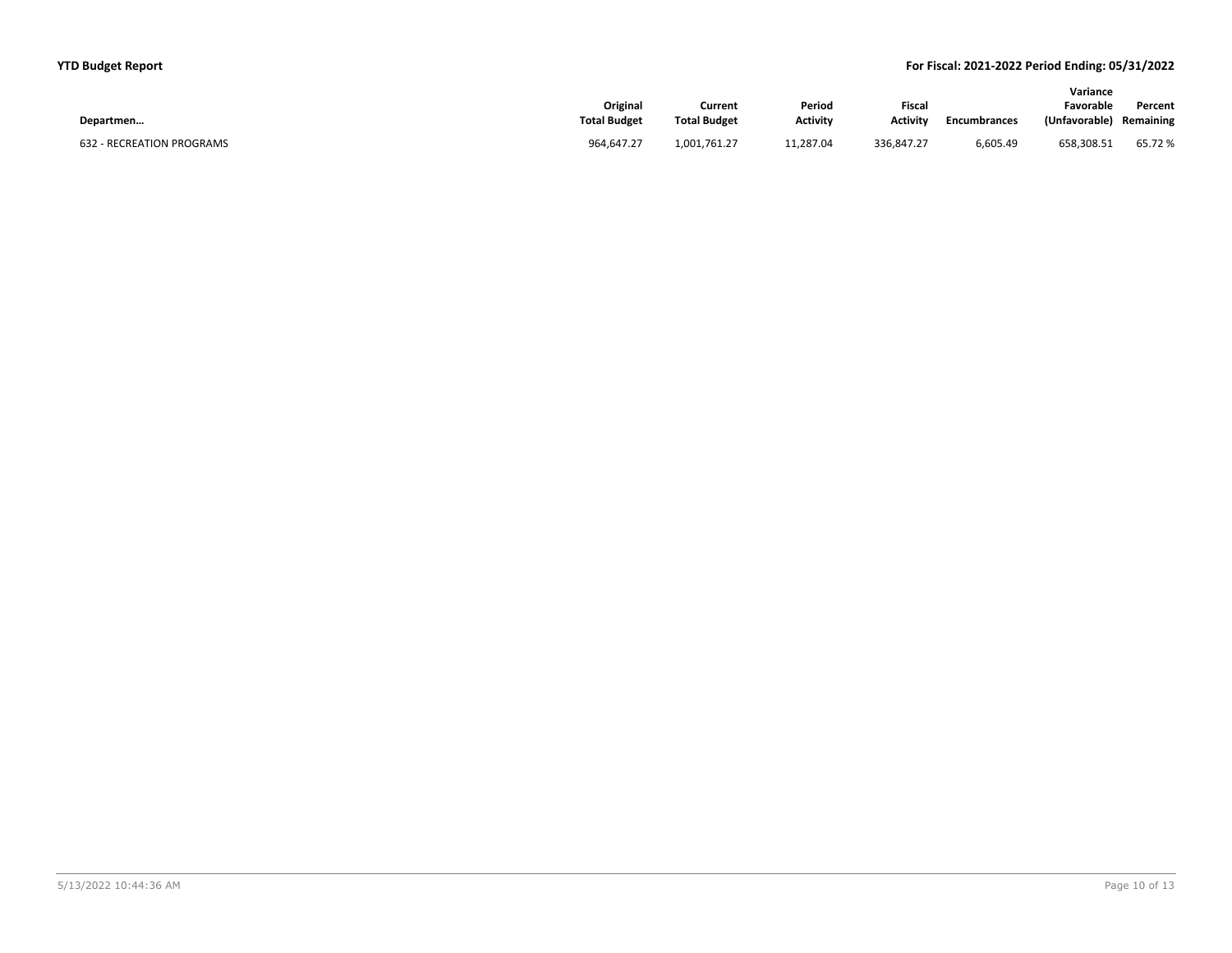|                           |                     |                     |                 |                 |                     | Variance      |           |
|---------------------------|---------------------|---------------------|-----------------|-----------------|---------------------|---------------|-----------|
|                           | Original            | Current             | Period          | <b>Fiscal</b>   |                     | Favorable     | Percent   |
| Departmen                 | <b>Total Budget</b> | <b>Total Budget</b> | <b>Activity</b> | <b>Activity</b> | <b>Encumbrances</b> | (Unfavorable) | Remaining |
| 632 - RECREATION PROGRAMS | 964.647.27          | 1,001,761.27        | 11.287.04       | 336.847.27      | 6,605.49            | 658,308.51    | 65.72%    |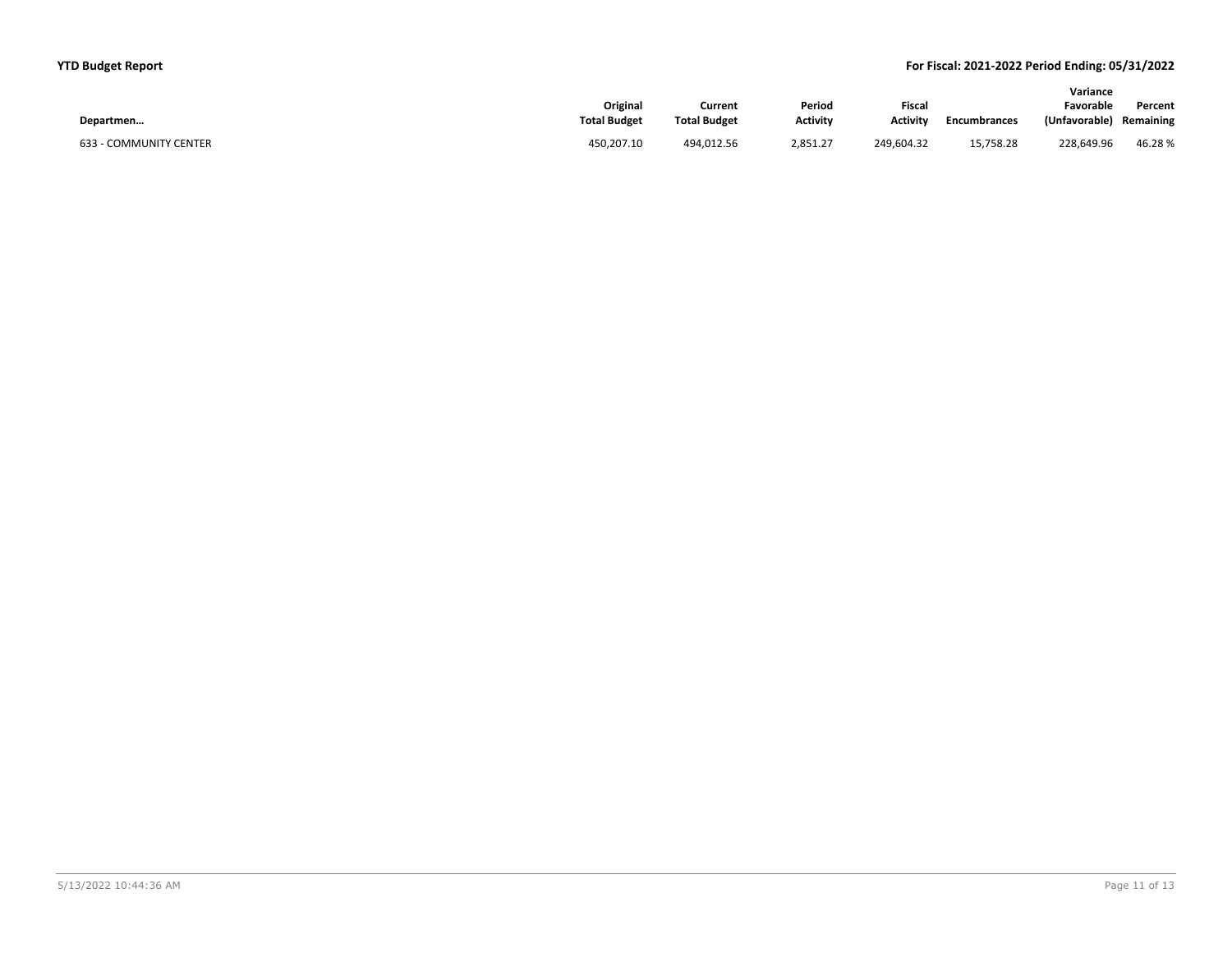|                        |                     |                     |                 |                 |                     | Variance      |           |
|------------------------|---------------------|---------------------|-----------------|-----------------|---------------------|---------------|-----------|
|                        | Original            | Current             | Period          | <b>Fiscal</b>   |                     | Favorable     | Percent   |
| Departmen              | <b>Total Budget</b> | <b>Total Budget</b> | <b>Activity</b> | <b>Activity</b> | <b>Encumbrances</b> | (Unfavorable) | Remaining |
| 633 - COMMUNITY CENTER | 450.207.10          | 494.012.56          | 2.851.27        | 249.604.32      | 15.758.28           | 228.649.96    | 46.28%    |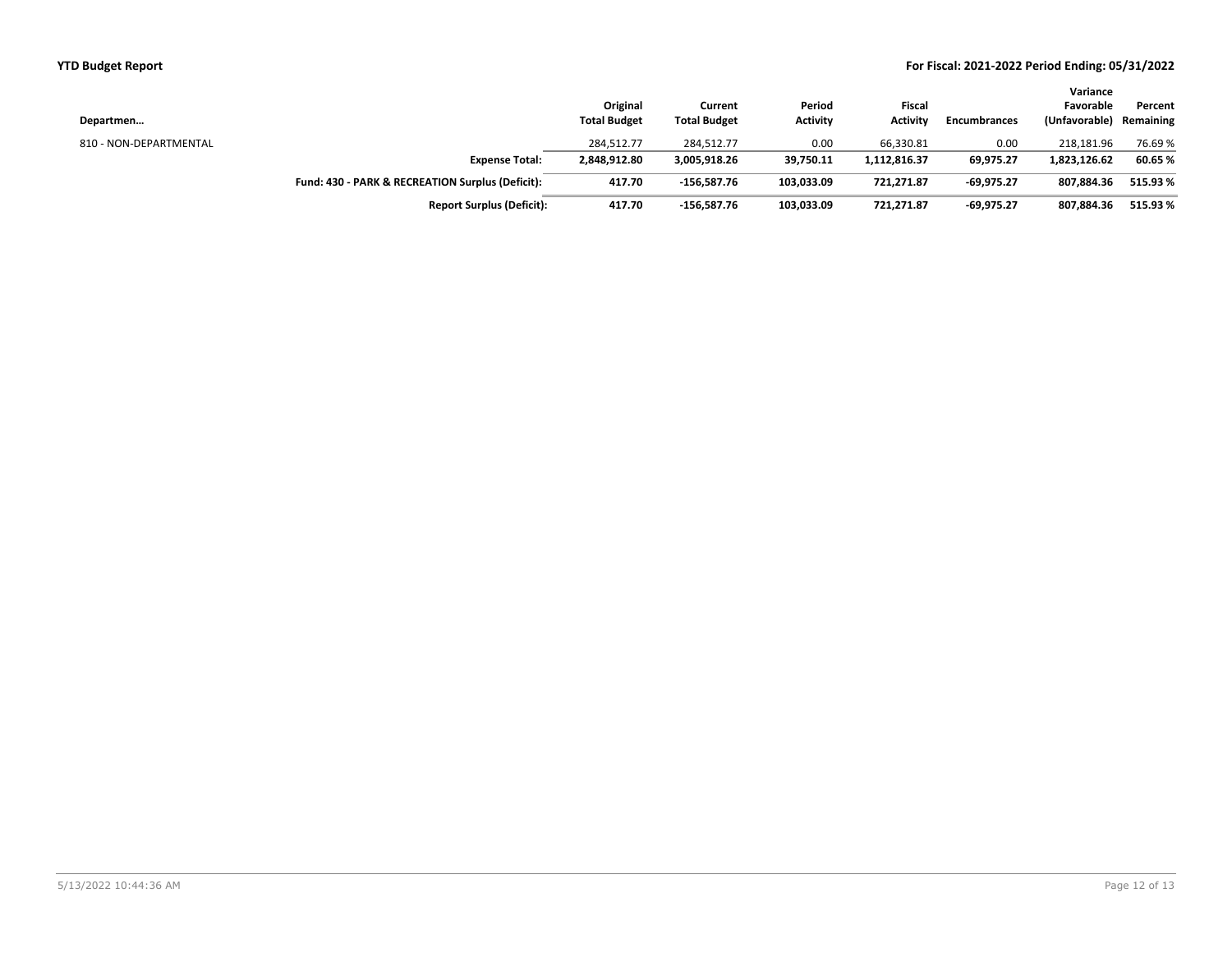| Departmen              |                                                  | Original<br><b>Total Budget</b> | Current<br><b>Total Budget</b> | Period<br><b>Activity</b> | Fiscal<br><b>Activity</b> | <b>Encumbrances</b> | Variance<br>Favorable<br>(Unfavorable) | Percent<br>Remaining |
|------------------------|--------------------------------------------------|---------------------------------|--------------------------------|---------------------------|---------------------------|---------------------|----------------------------------------|----------------------|
| 810 - NON-DEPARTMENTAL |                                                  | 284.512.77                      | 284,512.77                     | 0.00                      | 66,330.81                 | 0.00                | 218.181.96                             | 76.69%               |
|                        | <b>Expense Total:</b>                            | 2,848,912.80                    | 3,005,918.26                   | 39,750.11                 | 1,112,816.37              | 69,975.27           | 1,823,126.62                           | 60.65%               |
|                        | Fund: 430 - PARK & RECREATION Surplus (Deficit): | 417.70                          | $-156,587.76$                  | 103,033.09                | 721,271.87                | $-69,975.27$        | 807.884.36                             | 515.93%              |
|                        | <b>Report Surplus (Deficit):</b>                 | 417.70                          | $-156.587.76$                  | 103,033.09                | 721.271.87                | $-69.975.27$        | 807.884.36                             | 515.93%              |